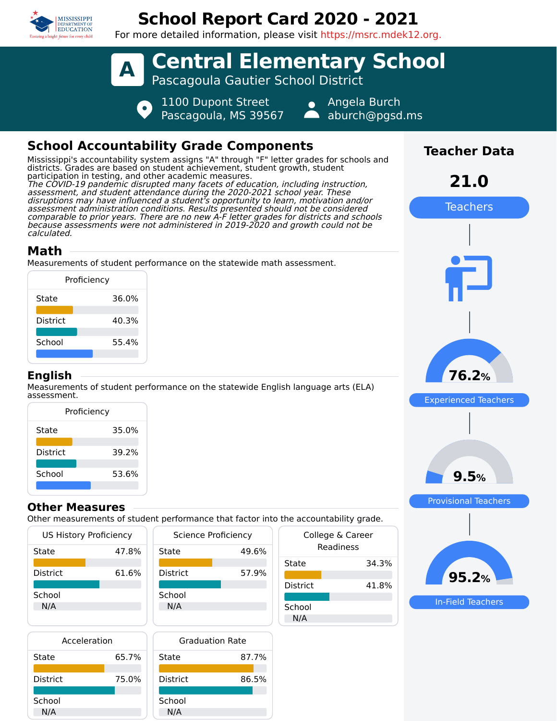

# **School Report Card 2020 - 2021**

For more detailed information, please visit https://msrc.mdek12.org.



## **School Accountability Grade Components**

Mississippi's accountability system assigns "A" through "F" letter grades for schools and districts. Grades are based on student achievement, student growth, student participation in testing, and other academic measures. The COVID-19 pandemic disrupted many facets of education, including instruction, assessment, and student attendance during the 2020-2021 school year. These disruptions may have influenced a student's opportunity to learn, motivation and/or assessment administration conditions. Results presented should not be considered comparable to prior years. There are no new A-F letter grades for districts and schools because assessments were not administered in 2019-2020 and growth could not be calculated.

## **Math**

Measurements of student performance on the statewide math assessment.

| Proficiency     |       |  |  |  |  |
|-----------------|-------|--|--|--|--|
| State           | 36.0% |  |  |  |  |
| <b>District</b> | 40.3% |  |  |  |  |
| School          | 55.4% |  |  |  |  |
|                 |       |  |  |  |  |

### **English**

Measurements of student performance on the statewide English language arts (ELA) assessment.

| Proficiency |       |  |  |  |
|-------------|-------|--|--|--|
| State       | 35.0% |  |  |  |
| District    | 39.2% |  |  |  |
| School      | 53.6% |  |  |  |

### **Other Measures**

Other measurements of student performance that factor into the accountability grade.

| <b>US History Proficiency</b> |       | <b>Science Proficiency</b> | Colleg |                 |
|-------------------------------|-------|----------------------------|--------|-----------------|
| State                         | 47.8% | State                      | 49.6%  | Re              |
|                               |       |                            |        | State           |
| <b>District</b>               | 61.6% | <b>District</b>            | 57.9%  |                 |
|                               |       |                            |        | <b>District</b> |
| School                        |       | School                     |        |                 |
| N/A                           |       | N/A                        |        | School          |
|                               |       |                            |        | N/A             |
|                               |       |                            |        |                 |

| Acceleration |       |    |
|--------------|-------|----|
| State        | 65.7% | St |
| District     | 75.0% |    |
| School       |       | Sc |
| N/A          |       |    |



| uic accountability grauc.     |       |  |  |  |
|-------------------------------|-------|--|--|--|
| College & Career<br>Readiness |       |  |  |  |
| State                         | 34.3% |  |  |  |
| District                      | 41.8% |  |  |  |
| School<br>N/A                 |       |  |  |  |



In-Field Teachers